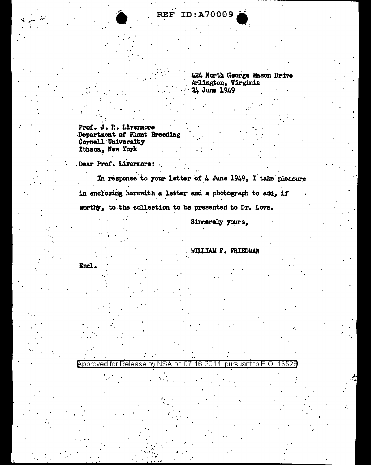424 North George Mason Drive Arlington, Virginia 24 June 1949

Prof. J. R. Livermore Department of Plant Breeding Cornell University Ithaca, New York

Dear Prof. Livermore:

In response to your letter of 4 June 1949, I take pleasure in enclosing herewith a letter and a photograph to add, if worthy, to the collection to be presented to Dr. Love.

Approved for Release by NSA on 07-16-2014 pursuant to E.O.

Sincerely yours,

WILLIAM F. FRIEDMAN

1352

Encl.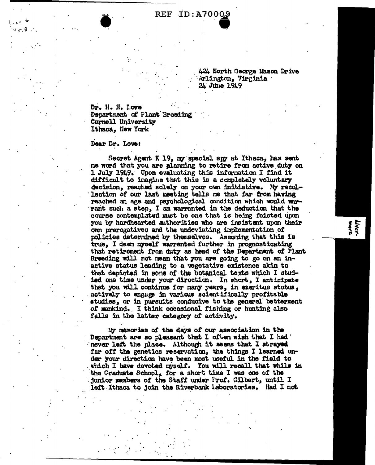**REF ID:A70009** 

424 North George Mason Drive Arlington, Virginia 24 June 1949

Livers<br>**Wars** 

Dr. H. H. Love Department of Plant Breeding Cornell University Ithaca. New York

Dear Dr. Love:

Secret Agent K 19, my special spy at Ithaca, has sent me word that you are alanning to retire from active duty on 1 July 1949. Upon evaluating this information I find it difficult to imagine that this is a completely voluntary decision, reached solely on your own initiative. My recollection of our last meeting tells me that far from having reached an age and psychological condition which would warrant such a step. I am warranted in the deduction that the course contemplated must be one that is being foisted upon you by hardhearted authorities who are insistent upon their own prerogatives and the undeviating implementation of policies determined by themselvos. Assuming that this is true. I deen myself warranted further in prognosticating that retirement from duty as head of the Department of Plant Breeding will not mean that you are going to go on an inactive status leading to a vegetative existence akin to that depicted in some of the botanical texts which I studied one time under your direction. In short, I anticipate that you will continue for many years, in emeritus status, actively to engage in various scientifically profitable studies, or in pursuits conducive to the general betterment of mankind. I think occasional fishing or hunting also falls in the latter category of activity.

My memories of the days of our association in the Department are so pleasant that I often wish that I had never left the place. Although it seems that I strayed far off the genetics reservation, the things I learned under your direction have been most useful in the field to which I have devoted myself. You will recall that while in the Graduate School, for a short time I was one of the junior members of the Staff under Prof. Gilbert, until I left Ithaca to join the Riverbank Laboratories. Had I not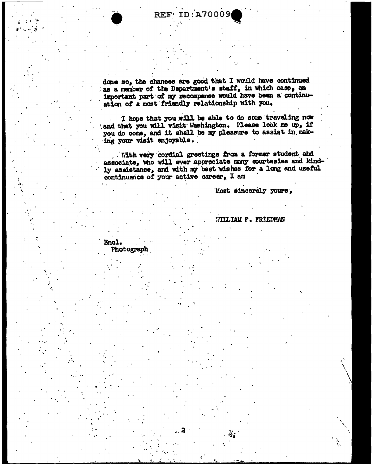REF ID:A70009

done so, the chances are good that I would have continued as a member of the Department's staff, in which case, an important part of my recompense would have been a continuation of a most friendly relationship with you.

I hope that you will be able to do some traveling now and that you will visit Washington. Please look me up, if you do come, and it shall be my pleasure to assist in making your visit enjoyable.

With very cordial greetings from a former student and associate, who will ever appreciate many courtesies and kindly assistance, and with my best wishes for a long and useful continuance of your active career, I am

Nost sincerely yours.

**WILLIAM F. FRIEDMAN** 

ä.

Ň.

Encl. Photograph